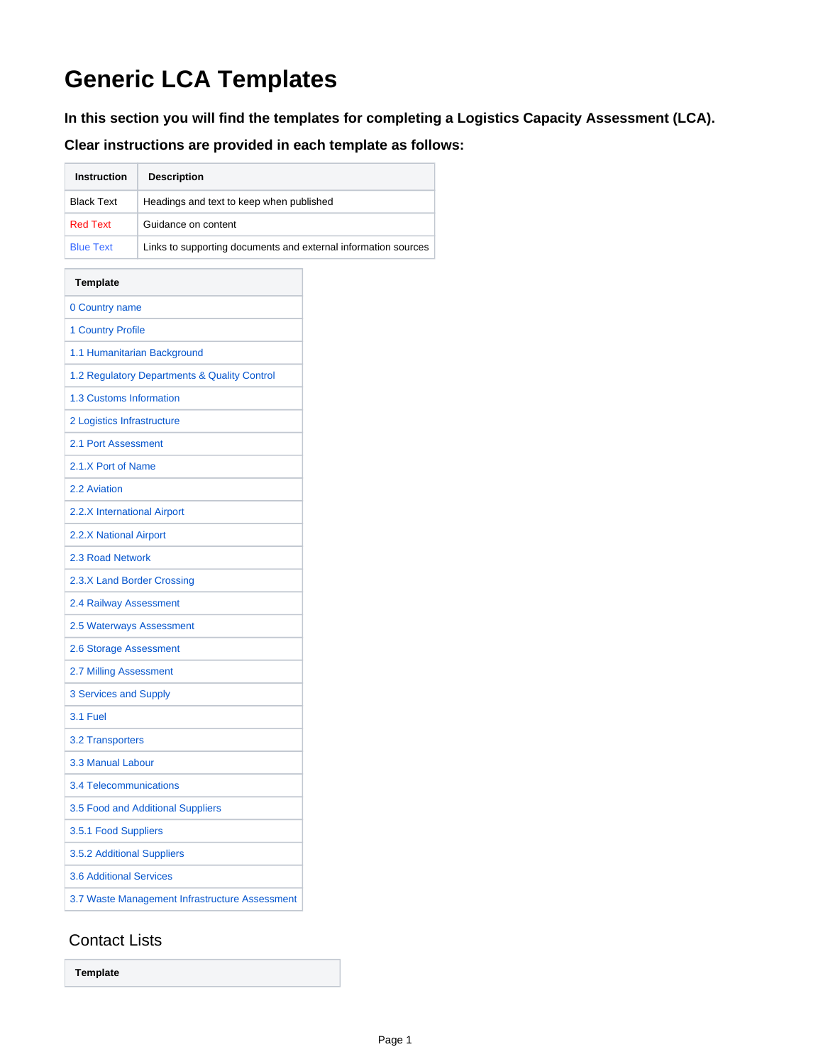## **Generic LCA Templates**

**In this section you will find the templates for completing a Logistics Capacity Assessment (LCA).** 

**Clear instructions are provided in each template as follows:**

| <b>Instruction</b>                             | <b>Description</b>                                             |  |
|------------------------------------------------|----------------------------------------------------------------|--|
| <b>Black Text</b>                              | Headings and text to keep when published                       |  |
| <b>Red Text</b>                                | Guidance on content                                            |  |
| <b>Blue Text</b>                               | Links to supporting documents and external information sources |  |
| <b>Template</b>                                |                                                                |  |
| 0 Country name                                 |                                                                |  |
| <b>1 Country Profile</b>                       |                                                                |  |
| 1.1 Humanitarian Background                    |                                                                |  |
|                                                | 1.2 Regulatory Departments & Quality Control                   |  |
| 1.3 Customs Information                        |                                                                |  |
| 2 Logistics Infrastructure                     |                                                                |  |
| 2.1 Port Assessment                            |                                                                |  |
| 2.1.X Port of Name                             |                                                                |  |
| 2.2 Aviation                                   |                                                                |  |
| 2.2.X International Airport                    |                                                                |  |
| 2.2.X National Airport                         |                                                                |  |
| 2.3 Road Network                               |                                                                |  |
| 2.3.X Land Border Crossing                     |                                                                |  |
| 2.4 Railway Assessment                         |                                                                |  |
| 2.5 Waterways Assessment                       |                                                                |  |
| 2.6 Storage Assessment                         |                                                                |  |
| 2.7 Milling Assessment                         |                                                                |  |
| 3 Services and Supply                          |                                                                |  |
| 3.1 Fuel                                       |                                                                |  |
| 3.2 Transporters                               |                                                                |  |
| 3.3 Manual Labour                              |                                                                |  |
| 3.4 Telecommunications                         |                                                                |  |
| 3.5 Food and Additional Suppliers              |                                                                |  |
| 3.5.1 Food Suppliers                           |                                                                |  |
| 3.5.2 Additional Suppliers                     |                                                                |  |
| <b>3.6 Additional Services</b>                 |                                                                |  |
| 3.7 Waste Management Infrastructure Assessment |                                                                |  |

## Contact Lists

**Template**